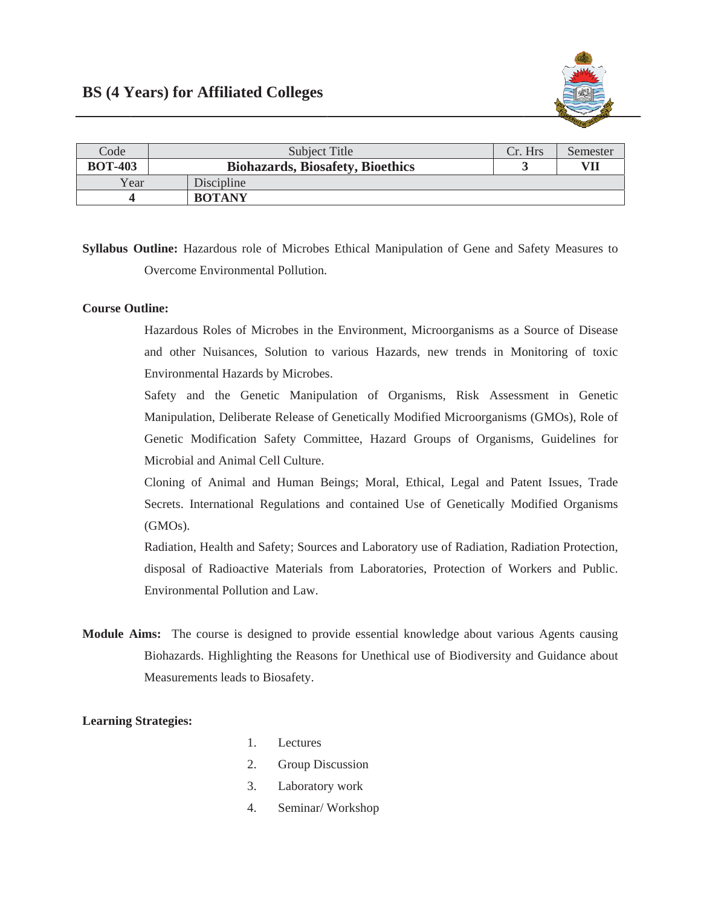

| Code           | Subject Title                           | Cr. Hrs | Semester |
|----------------|-----------------------------------------|---------|----------|
| <b>BOT-403</b> | <b>Biohazards, Biosafety, Bioethics</b> |         | VII      |
| Year           | Discipline                              |         |          |
|                | <b>BOTANY</b>                           |         |          |

Syllabus Outline: Hazardous role of Microbes Ethical Manipulation of Gene and Safety Measures to Overcome Environmental Pollution.

## **Course Outline:**

Hazardous Roles of Microbes in the Environment, Microorganisms as a Source of Disease and other Nuisances, Solution to various Hazards, new trends in Monitoring of toxic Environmental Hazards by Microbes.

Safety and the Genetic Manipulation of Organisms, Risk Assessment in Genetic Manipulation, Deliberate Release of Genetically Modified Microorganisms (GMOs), Role of Genetic Modification Safety Committee, Hazard Groups of Organisms, Guidelines for Microbial and Animal Cell Culture.

Cloning of Animal and Human Beings; Moral, Ethical, Legal and Patent Issues, Trade Secrets. International Regulations and contained Use of Genetically Modified Organisms  $(GMOs)$ .

Radiation, Health and Safety; Sources and Laboratory use of Radiation, Radiation Protection, disposal of Radioactive Materials from Laboratories, Protection of Workers and Public. Environmental Pollution and Law.

Module Aims: The course is designed to provide essential knowledge about various Agents causing Biohazards. Highlighting the Reasons for Unethical use of Biodiversity and Guidance about Measurements leads to Biosafety.

## **Learning Strategies:**

- $1<sub>1</sub>$ Lectures
- $2<sup>1</sup>$ Group Discussion
- $3.$ Laboratory work
- $4.$ Seminar/Workshop